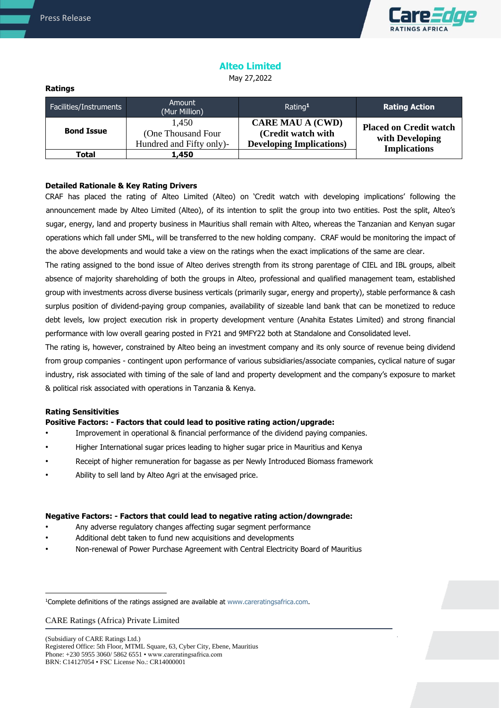

# **Alteo Limited**

May 27,2022

#### **Ratings**

| Facilities/Instruments | Amount<br>(Mur Million)                                  | Rating <sup>1</sup>                                                              | <b>Rating Action</b>                                                    |
|------------------------|----------------------------------------------------------|----------------------------------------------------------------------------------|-------------------------------------------------------------------------|
| <b>Bond Issue</b>      | 1.450<br>(One Thousand Four)<br>Hundred and Fifty only)- | <b>CARE MAU A (CWD)</b><br>(Credit watch with<br><b>Developing Implications)</b> | <b>Placed on Credit watch</b><br>with Developing<br><b>Implications</b> |
| Total                  | 1,450                                                    |                                                                                  |                                                                         |

## **Detailed Rationale & Key Rating Drivers**

CRAF has placed the rating of Alteo Limited (Alteo) on 'Credit watch with developing implications' following the announcement made by Alteo Limited (Alteo), of its intention to split the group into two entities. Post the split, Alteo's sugar, energy, land and property business in Mauritius shall remain with Alteo, whereas the Tanzanian and Kenyan sugar operations which fall under SML, will be transferred to the new holding company. CRAF would be monitoring the impact of the above developments and would take a view on the ratings when the exact implications of the same are clear.

The rating assigned to the bond issue of Alteo derives strength from its strong parentage of CIEL and IBL groups, albeit absence of majority shareholding of both the groups in Alteo, professional and qualified management team, established group with investments across diverse business verticals (primarily sugar, energy and property), stable performance & cash surplus position of dividend-paying group companies, availability of sizeable land bank that can be monetized to reduce debt levels, low project execution risk in property development venture (Anahita Estates Limited) and strong financial performance with low overall gearing posted in FY21 and 9MFY22 both at Standalone and Consolidated level.

The rating is, however, constrained by Alteo being an investment company and its only source of revenue being dividend from group companies - contingent upon performance of various subsidiaries/associate companies, cyclical nature of sugar industry, risk associated with timing of the sale of land and property development and the company's exposure to market & political risk associated with operations in Tanzania & Kenya.

### **Rating Sensitivities**

### **Positive Factors: - Factors that could lead to positive rating action/upgrade:**

- Improvement in operational & financial performance of the dividend paying companies.
- Higher International sugar prices leading to higher sugar price in Mauritius and Kenya
- Receipt of higher remuneration for bagasse as per Newly Introduced Biomass framework
- Ability to sell land by Alteo Agri at the envisaged price.

#### **Negative Factors: - Factors that could lead to negative rating action/downgrade:**

- Any adverse regulatory changes affecting sugar segment performance
- Additional debt taken to fund new acquisitions and developments
- Non-renewal of Power Purchase Agreement with Central Electricity Board of Mauritius

CARE Ratings (Africa) Private Limited

(Subsidiary of CARE Ratings Ltd.) Registered Office: 5th Floor, MTML Square, 63, Cyber City, Ebene, Mauritius Phone: +230 5955 3060/ 5862 6551 • www.careratingsafrica.com BRN: C14127054 • FSC License No.: CR14000001

<sup>&</sup>lt;sup>1</sup>Complete definitions of the ratings assigned are available at www.careratingsafrica.com.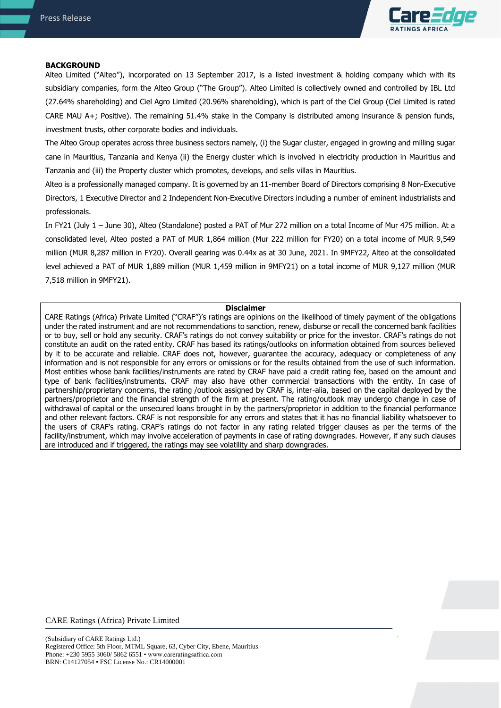

#### **BACKGROUND**

Alteo Limited ("Alteo"), incorporated on 13 September 2017, is a listed investment & holding company which with its subsidiary companies, form the Alteo Group ("The Group"). Alteo Limited is collectively owned and controlled by IBL Ltd (27.64% shareholding) and Ciel Agro Limited (20.96% shareholding), which is part of the Ciel Group (Ciel Limited is rated CARE MAU A+; Positive). The remaining 51.4% stake in the Company is distributed among insurance & pension funds, investment trusts, other corporate bodies and individuals.

The Alteo Group operates across three business sectors namely, (i) the Sugar cluster, engaged in growing and milling sugar cane in Mauritius, Tanzania and Kenya (ii) the Energy cluster which is involved in electricity production in Mauritius and Tanzania and (iii) the Property cluster which promotes, develops, and sells villas in Mauritius.

Alteo is a professionally managed company. It is governed by an 11-member Board of Directors comprising 8 Non-Executive Directors, 1 Executive Director and 2 Independent Non-Executive Directors including a number of eminent industrialists and professionals.

In FY21 (July 1 – June 30), Alteo (Standalone) posted a PAT of Mur 272 million on a total Income of Mur 475 million. At a consolidated level, Alteo posted a PAT of MUR 1,864 million (Mur 222 million for FY20) on a total income of MUR 9,549 million (MUR 8,287 million in FY20). Overall gearing was 0.44x as at 30 June, 2021. In 9MFY22, Alteo at the consolidated level achieved a PAT of MUR 1,889 million (MUR 1,459 million in 9MFY21) on a total income of MUR 9,127 million (MUR 7,518 million in 9MFY21).

#### **Disclaimer**

CARE Ratings (Africa) Private Limited ("CRAF")'s ratings are opinions on the likelihood of timely payment of the obligations under the rated instrument and are not recommendations to sanction, renew, disburse or recall the concerned bank facilities or to buy, sell or hold any security. CRAF's ratings do not convey suitability or price for the investor. CRAF's ratings do not constitute an audit on the rated entity. CRAF has based its ratings/outlooks on information obtained from sources believed by it to be accurate and reliable. CRAF does not, however, guarantee the accuracy, adequacy or completeness of any information and is not responsible for any errors or omissions or for the results obtained from the use of such information. Most entities whose bank facilities/instruments are rated by CRAF have paid a credit rating fee, based on the amount and type of bank facilities/instruments. CRAF may also have other commercial transactions with the entity. In case of partnership/proprietary concerns, the rating /outlook assigned by CRAF is, inter-alia, based on the capital deployed by the partners/proprietor and the financial strength of the firm at present. The rating/outlook may undergo change in case of withdrawal of capital or the unsecured loans brought in by the partners/proprietor in addition to the financial performance and other relevant factors. CRAF is not responsible for any errors and states that it has no financial liability whatsoever to the users of CRAF's rating. CRAF's ratings do not factor in any rating related trigger clauses as per the terms of the facility/instrument, which may involve acceleration of payments in case of rating downgrades. However, if any such clauses are introduced and if triggered, the ratings may see volatility and sharp downgrades.

CARE Ratings (Africa) Private Limited